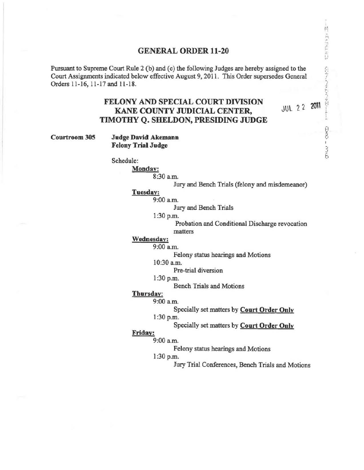### GENERAL ORDER 11-20

Pursuant to Supreme Court Rule 2 (b) and (c) the following Judges are hereby assigned to the Court Assignments indicated below effective August 9, 2011. This Order supersedes General Orders 11-16, 11-17 and 11-18.

# FELONY AND SPECIAL COURT DIVISION KANE COUNTY JUDICIAL CENTER, TIMOTHY Q,. SHELDON, PRESIDING JUDGE

**JUL 22 2011** 

l J,

Courtroom 305 Judge David Akemann Felony Trial Judge

Schedule:

Monday:

8:30 a.m.

Jury and Bench Trials (felony and misdemeanor)

Tuesday:

9:00a.m.

Jury and Bench Trials

1:30 p.m.

Probation and Conditional Discharge revocation matters

## Wednesday:

9:00 a.m.

Felony status hearings and Motions

10:30 a.m.

Pre-trial diversion

#### 1:30 p.m.

Bench Trials and Motions

# Thursday:

### 9:00 a.m.

Specially set matters by Court Order Only

1:30 p.m.

Specially set matters by Court Order Only

Friday:

9:00a.m.

Felony status hearings and Motions

1:30 p.m.

Jury Trial Conferences, Bench Trials and Motions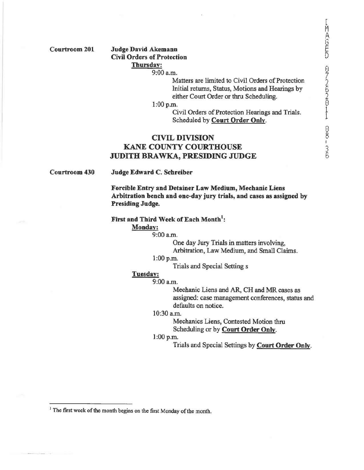Courtroom 201

#### Judge David Akemann Civil Orders of Protection Thursday:

9:00 a.m.

Matters are limited to Civil Orders of Protection Initial returns, Status, Motions and Hearings by either Court Order or thru Scheduling.

l:OOp.m.

Civil Orders of Protection Hearings and Trials. Scheduled by Court Order Only.

# CIVIL DIVISION KANE COUNTY COURTHOUSE JUDITH BRAWKA, PRESIDING JUDGE

Courtroom 430

Judge Edward C. Schreiber

Forcible Entry and Detainer Law Medium, Mechanic Liens Arbitration bench and one-day jury trials, and cases as assigned by Presiding Judge.

First and Third Week of Each Month<sup>1</sup>:

#### Monday:

9:00a.m.

One day Jury Trials in matters involving, Arbitration, Law Medium, and Small Claims.

l:OOp.m.

Trials and Special Setting s

# Tuesday:

9:00 a.m.

Mechanic Liens and AR, CH and MR cases as assigned: case management conferences, status and defaults on notice.

#### 10:30 a.m.

Mechanics Liens, Contested Motion thru Scheduling or by Court Order Only.

#### l:OOp.m.

Trials and Special Settings by Court Order Only.

<sup>&</sup>lt;sup>1</sup> The first week of the month begins on the first Monday of the month.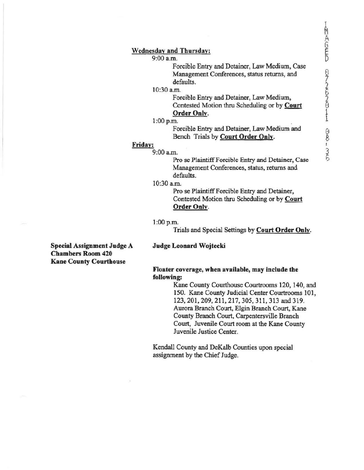#### Wednesday and Thursday:

9:00 a.m.

Forcible Entry and Detainer, Law Medium, Case Management Conferences, status returns, and defaults.

#### $10:30$  a.m.

Forcible Entry and Detainer, Law Medium, Contested Motion thru Scheduling or by Court Order Only.  $\frac{0 \text{rder Only}}{2 \text{m}}$ .

Forcible Entry and Detainer, Law Medium and Bench Trials by Court Order Only.

### Friday:

9:00 a.m.

Pro se Plaintiff Forcible Entry and Detainer, Case Management Conferences, status, returns and defaults.

#### 10:30 a.m.

Pro se Plaintiff Forcible Entry and Detainer, Contested Motion thru Scheduling or by Court Order Only.

#### l :OOp.m.

Trials and Special Settings by Court Order Only.

#### Judge Leonard Wojtecki

Special Assignment Judge A Chambers Room 420 Kane County Courthouse

#### Floater coverage, when available, may include the following:

Kane County Courthouse Courtrooms 120, 140, and 150. Kane County Judicial Center Courtrooms 101, 123, 201, 209, 211, 217, 305, 311, 313 and 319. Aurora Branch Court, Elgin Branch Court, Kane County Branch Court, Cazpentersville Branch Court, Juvenile Court room at the Kane County Juvenile Justice Center.

Kendall County and DeKalb Counties upon special assignment by the Chief Judge.